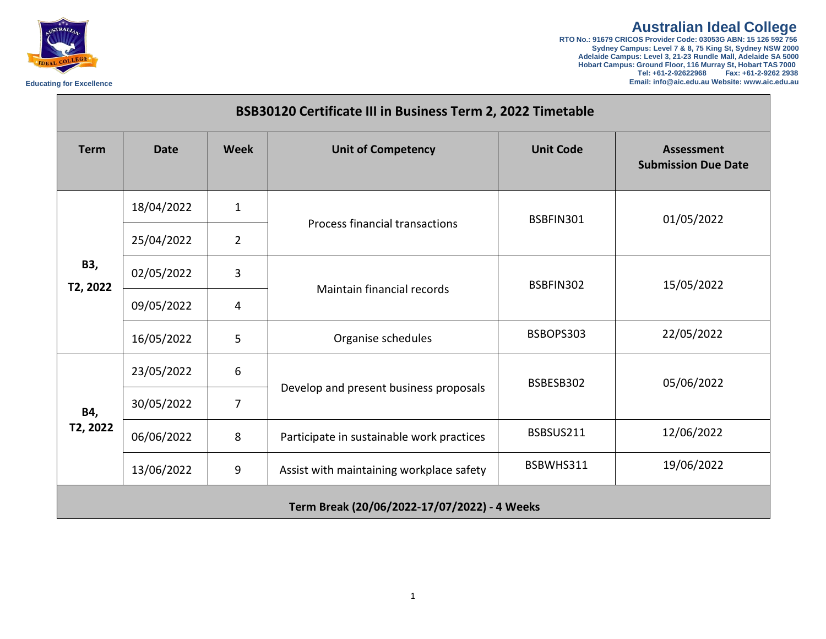**Australian Ideal College RTO No.: 91679 CRICOS Provider Code: 03053G ABN: 15 126 592 756 Sydney Campus: Level 7 & 8, 75 King St, Sydney NSW 2000 Adelaide Campus: Level 3, 21-23 Rundle Mall, Adelaide SA 5000 Hobart Campus: Ground Floor, 116 Murray St, Hobart TAS 7000 Tel: +61-2-92622968 Fax: +61-2-9262 2938 Educating for Excellence Email[: info@aic.edu.au W](mailto:info@aic.edu.au)ebsite[: www.aic.edu.au](http://www.aic.edu.au/)**



| BSB30120 Certificate III in Business Term 2, 2022 Timetable |             |                |                                           |                  |                                          |
|-------------------------------------------------------------|-------------|----------------|-------------------------------------------|------------------|------------------------------------------|
| <b>Term</b>                                                 | <b>Date</b> | <b>Week</b>    | <b>Unit of Competency</b>                 | <b>Unit Code</b> | Assessment<br><b>Submission Due Date</b> |
| B3,<br>T2, 2022                                             | 18/04/2022  | $\mathbf{1}$   | <b>Process financial transactions</b>     | BSBFIN301        | 01/05/2022                               |
|                                                             | 25/04/2022  | $\overline{2}$ |                                           |                  |                                          |
|                                                             | 02/05/2022  | 3              | Maintain financial records                | BSBFIN302        | 15/05/2022                               |
|                                                             | 09/05/2022  | 4              |                                           |                  |                                          |
|                                                             | 16/05/2022  | 5              | Organise schedules                        | BSBOPS303        | 22/05/2022                               |
| B4,<br>T2, 2022                                             | 23/05/2022  | 6              | Develop and present business proposals    | BSBESB302        | 05/06/2022                               |
|                                                             | 30/05/2022  | $\overline{7}$ |                                           |                  |                                          |
|                                                             | 06/06/2022  | 8              | Participate in sustainable work practices | BSBSUS211        | 12/06/2022                               |
|                                                             | 13/06/2022  | 9              | Assist with maintaining workplace safety  | BSBWHS311        | 19/06/2022                               |
| Term Break (20/06/2022-17/07/2022) - 4 Weeks                |             |                |                                           |                  |                                          |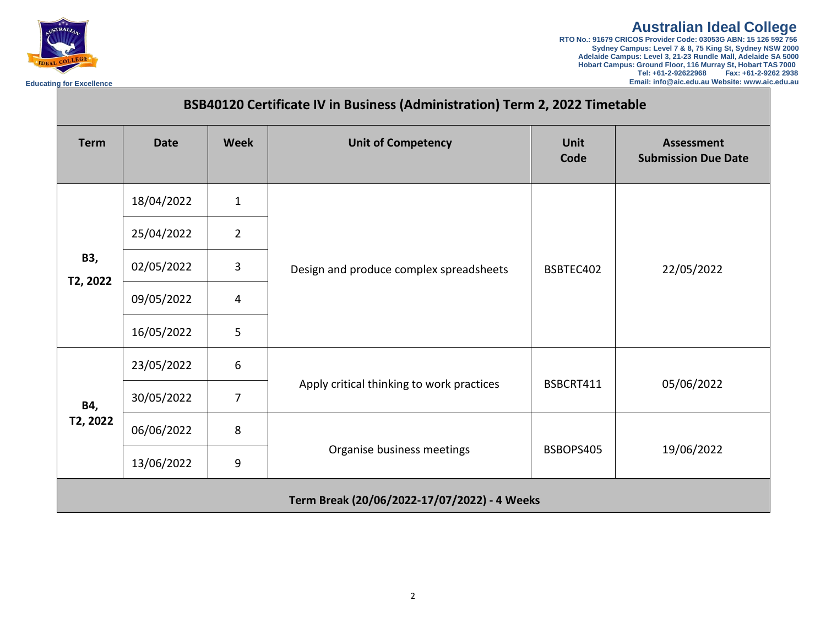

**Australian Ideal College RTO No.: 91679 CRICOS Provider Code: 03053G ABN: 15 126 592 756 Sydney Campus: Level 7 & 8, 75 King St, Sydney NSW 2000 Adelaide Campus: Level 3, 21-23 Rundle Mall, Adelaide SA 5000 Hobart Campus: Ground Floor, 116 Murray St, Hobart TAS 7000 Tel: +61-2-92622968 Fax: +61-2-9262 2938**

**Educating for Excellence Email[: info@aic.edu.au W](mailto:info@aic.edu.au)ebsite[: www.aic.edu.au](http://www.aic.edu.au/)**

| BSB40120 Certificate IV in Business (Administration) Term 2, 2022 Timetable |             |                |                                              |                     |                                          |
|-----------------------------------------------------------------------------|-------------|----------------|----------------------------------------------|---------------------|------------------------------------------|
| <b>Term</b>                                                                 | <b>Date</b> | <b>Week</b>    | <b>Unit of Competency</b>                    | <b>Unit</b><br>Code | Assessment<br><b>Submission Due Date</b> |
| B3,<br>T2, 2022                                                             | 18/04/2022  | $\mathbf{1}$   | Design and produce complex spreadsheets      | BSBTEC402           | 22/05/2022                               |
|                                                                             | 25/04/2022  | $\overline{2}$ |                                              |                     |                                          |
|                                                                             | 02/05/2022  | 3              |                                              |                     |                                          |
|                                                                             | 09/05/2022  | 4              |                                              |                     |                                          |
|                                                                             | 16/05/2022  | 5              |                                              |                     |                                          |
| B4,<br>T2, 2022                                                             | 23/05/2022  | 6              | Apply critical thinking to work practices    | BSBCRT411           | 05/06/2022                               |
|                                                                             | 30/05/2022  | $\overline{7}$ |                                              |                     |                                          |
|                                                                             | 06/06/2022  | 8              | Organise business meetings                   | BSBOPS405           | 19/06/2022                               |
|                                                                             | 13/06/2022  | 9              |                                              |                     |                                          |
|                                                                             |             |                | Term Break (20/06/2022-17/07/2022) - 4 Weeks |                     |                                          |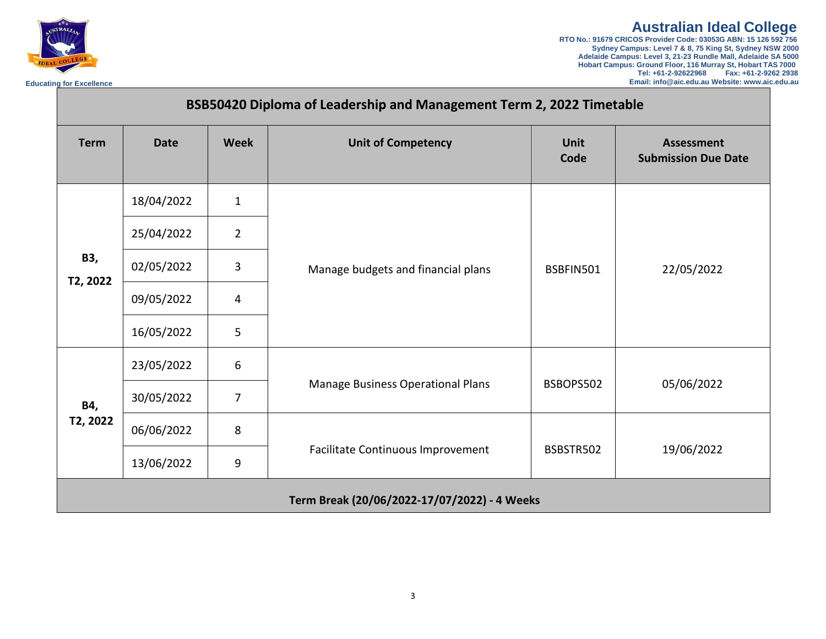

**Australian Ideal College RTO No.: 91679 CRICOS Provider Code: 03053G ABN: 15 126 592 756 Sydney Campus: Level 7 & 8, 75 King St, Sydney NSW 2000** 

**Adelaide Campus: Level 3, 21-23 Rundle Mall, Adelaide SA 5000 Hobart Campus: Ground Floor, 116 Murray St, Hobart TAS 7000 Tel: +61-2-92622968 Fax: +61-2-9262 2938 Educating for Excellence Email[: info@aic.edu.au W](mailto:info@aic.edu.au)ebsite[: www.aic.edu.au](http://www.aic.edu.au/)**

| BSB50420 Diploma of Leadership and Management Term 2, 2022 Timetable |             |                |                                              |                     |                                                 |
|----------------------------------------------------------------------|-------------|----------------|----------------------------------------------|---------------------|-------------------------------------------------|
| <b>Term</b>                                                          | <b>Date</b> | <b>Week</b>    | <b>Unit of Competency</b>                    | <b>Unit</b><br>Code | <b>Assessment</b><br><b>Submission Due Date</b> |
| <b>B3,</b><br>T2, 2022                                               | 18/04/2022  | $\mathbf{1}$   | Manage budgets and financial plans           | BSBFIN501           | 22/05/2022                                      |
|                                                                      | 25/04/2022  | $\overline{2}$ |                                              |                     |                                                 |
|                                                                      | 02/05/2022  | 3              |                                              |                     |                                                 |
|                                                                      | 09/05/2022  | 4              |                                              |                     |                                                 |
|                                                                      | 16/05/2022  | 5              |                                              |                     |                                                 |
| B4,<br>T2, 2022                                                      | 23/05/2022  | 6              | Manage Business Operational Plans            | BSBOPS502           | 05/06/2022                                      |
|                                                                      | 30/05/2022  | $\overline{7}$ |                                              |                     |                                                 |
|                                                                      | 06/06/2022  | 8              | Facilitate Continuous Improvement            | BSBSTR502           | 19/06/2022                                      |
|                                                                      | 13/06/2022  | 9              |                                              |                     |                                                 |
|                                                                      |             |                | Term Break (20/06/2022-17/07/2022) - 4 Weeks |                     |                                                 |